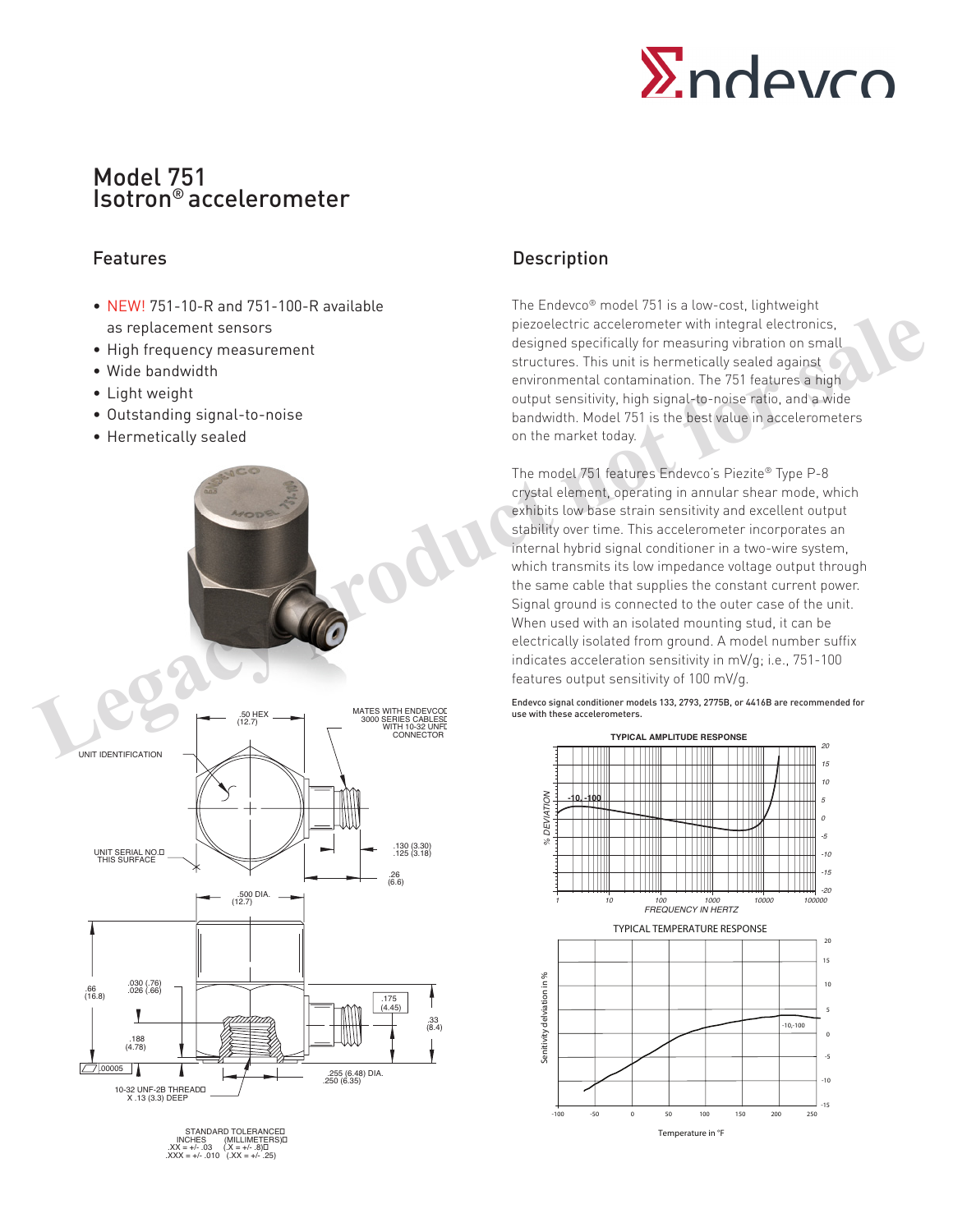# Model 751 Isotron® accelerometer

- NEW! 751-10-R and 751-100-R available as replacement sensors
- High frequency measurement
- Wide bandwidth
- Light weight
- Outstanding signal-to-noise
- Hermetically sealed



STANDARD TOLERANCED<br>INCHES (MILLIMETERS)<br>XX = +/- .03 (.X = +/- .8)<br>XXX = +/- .010 (.XX = +/- .25)

# Features **Description**

The Endevco® model 751 is a low-cost, lightweight piezoelectric accelerometer with integral electronics, designed specifically for measuring vibration on small structures. This unit is hermetically sealed against environmental contamination. The 751 features a high output sensitivity, high signal-to-noise ratio, and a wide bandwidth. Model 751 is the best value in accelerometers on the market today.

The model 751 features Endevco's Piezite® Type P-8 crystal element, operating in annular shear mode, which exhibits low base strain sensitivity and excellent output stability over time. This accelerometer incorporates an internal hybrid signal conditioner in a two-wire system, which transmits its low impedance voltage output through the same cable that supplies the constant current power. Signal ground is connected to the outer case of the unit. When used with an isolated mounting stud, it can be electrically isolated from ground. A model number suffix indicates acceleration sensitivity in mV/g; i.e., 751-100 features output sensitivity of 100 mV/g.

Endevco signal conditioner models 133, 2793, 2775B, or 4416B are recommended for use with these accelerometers.